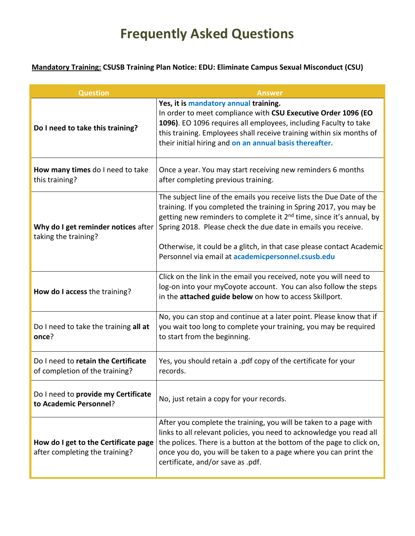## **Frequently Asked Questions**

## **Mandatory Training: CSUSB Training Plan Notice: EDU: Eliminate Campus Sexual Misconduct (CSU)**

| <b>Question</b>                                                        | Answer                                                                                                                                                                                                                                                                                                                                                                                                                         |  |  |
|------------------------------------------------------------------------|--------------------------------------------------------------------------------------------------------------------------------------------------------------------------------------------------------------------------------------------------------------------------------------------------------------------------------------------------------------------------------------------------------------------------------|--|--|
| Do I need to take this training?                                       | Yes, it is mandatory annual training.<br>In order to meet compliance with CSU Executive Order 1096 (EO<br>1096). EO 1096 requires all employees, including Faculty to take<br>this training. Employees shall receive training within six months of<br>their initial hiring and on an annual basis thereafter.                                                                                                                  |  |  |
| How many times do I need to take<br>this training?                     | Once a year. You may start receiving new reminders 6 months<br>after completing previous training.                                                                                                                                                                                                                                                                                                                             |  |  |
| Why do I get reminder notices after<br>taking the training?            | The subject line of the emails you receive lists the Due Date of the<br>training. If you completed the training in Spring 2017, you may be<br>getting new reminders to complete it 2 <sup>nd</sup> time, since it's annual, by<br>Spring 2018. Please check the due date in emails you receive.<br>Otherwise, it could be a glitch, in that case please contact Academic<br>Personnel via email at academicpersonnel.csusb.edu |  |  |
| How do I access the training?                                          | Click on the link in the email you received, note you will need to<br>log-on into your myCoyote account. You can also follow the steps<br>in the attached guide below on how to access Skillport.                                                                                                                                                                                                                              |  |  |
| Do I need to take the training all at<br>once?                         | No, you can stop and continue at a later point. Please know that if<br>you wait too long to complete your training, you may be required<br>to start from the beginning.                                                                                                                                                                                                                                                        |  |  |
| Do I need to retain the Certificate<br>of completion of the training?  | Yes, you should retain a .pdf copy of the certificate for your<br>records.                                                                                                                                                                                                                                                                                                                                                     |  |  |
| Do I need to provide my Certificate<br>to Academic Personnel?          | No, just retain a copy for your records.                                                                                                                                                                                                                                                                                                                                                                                       |  |  |
| How do I get to the Certificate page<br>after completing the training? | After you complete the training, you will be taken to a page with<br>links to all relevant policies, you need to acknowledge you read all<br>the polices. There is a button at the bottom of the page to click on,<br>once you do, you will be taken to a page where you can print the<br>certificate, and/or save as .pdf.                                                                                                    |  |  |